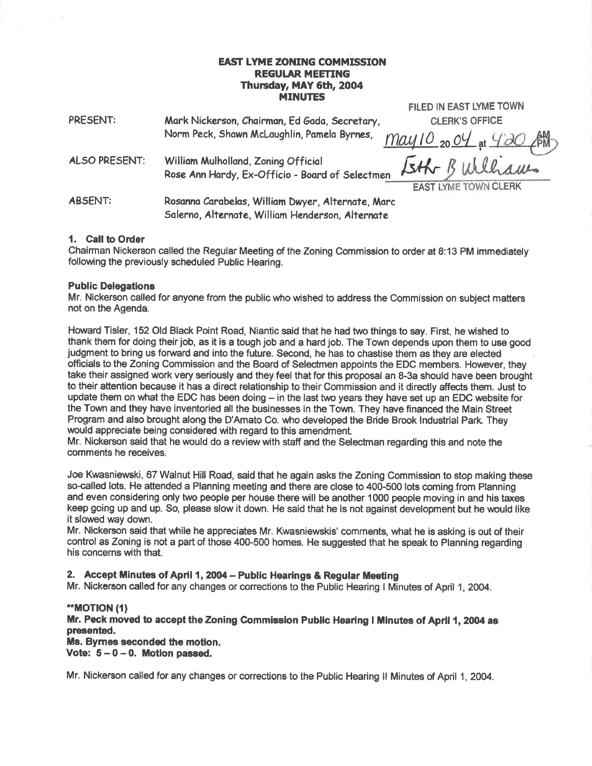#### EAST LYME ZONING COMMISSION **REGULAR MEETING** Thursday, MAY 6th, 2004 MINUTES

| <b>PRESENT:</b>      | Mark Nickerson, Chairman, Ed Gada, Secretary,<br><b>CLERK'S OFFICE</b>                                 |
|----------------------|--------------------------------------------------------------------------------------------------------|
|                      | Norm Peck, Shawn McLaughlin, Pamela Byrnes,<br>May 10 20 04 at 4:20 AM                                 |
| <b>ALSO PRESENT:</b> | Eth Bulliams<br>William Mulholland, Zoning Official<br>Rose Ann Hardy, Ex-Officio - Board of Selectmen |
|                      | <b>EAST LYME TOWN CLERK</b>                                                                            |
| <b>ABSENT:</b>       | Rosanna Carabelas, William Dwyer, Alternate, Marc<br>Salerno, Alternate, William Henderson, Alternate  |

FILED IN EAST LYME TOWN

## 1. Call to Order

 $-24$ 

Chairman Nickerson called the Regular Meeting of the Zoning Commission to order at 8:13 PM immediately following the previously scheduled Public Hearing.

#### Public Delegations

Mr. Nickerson called for anyone from the public who wished to address the Commission on subject matters not on the Agenda.

Howard Tisler, 152 Old Black Point Road, Niantic said that he had two things to say. First, he wished to thank them for doing their job, as it is a tough job and a hard job. The Town depends upon them to use good judgment to bring us forward and into the future. Second, he has to chastise them as they are elected officials to the Zoning Commission and the Board of Selectmen appoints the EDC members. However, they take their assigned work very seriously and they feel that for this proposal an 8-3a should have been brought to their attention because it has a direct relationship to their Commission and it directly affects them. Just to update them on what the EDC has been doing  $-$  in the last two years they have set up an EDC website for the Town and they have inventoried all the businesses in the Town. They have financed the Main Street Program and also brought along the D'Amato Co. who developed the Bride Brook lndustrial Park. They would appreciate being considered with regard to this amendment.

Mr. Nickerson said that he would do a review with staff and the Selectman regarding this and note the comments he receives.

Joe Kwasniewski, 67 Walnut Hill Road, said that he again asks the Zoning Commission to stop making these so-called lots. He attended a Planning meeting and there are close to 400-500 lots coming from Planning and even considering only two people per house there will be another 1000 people moving in and his taxes keep going up and up. So, please slow it down. He said that he is not against development but he would like it slowed way down.

Mr. Nickerson said that while he appreciates Mr. Kwasniewskis' comments, what he is asking is out of their control as Zoning is not a part of those 400-500 homes. He suggested that he speak to Planning regarding his concerns with that.

#### 2. Accept Minutes of April 1, 2004 - Public Hearings & Regular Meeting

Mr. Nickerson called for any changes or corrections to the Public Hearing I Minutes of April 1, 2004.

#### $*MOTION(1)$

Mr. Peck moved to accept the Zoning Commission Public Hearing I Minutes of April 1, 2004 as presented.

Ms. Bymee seconded the motion. Vote:  $5 - 0 - 0$ . Motion passed.

Mr. Nickerson called for any changes or corrections to the Public Hearing II Minutes of April 1, 2004.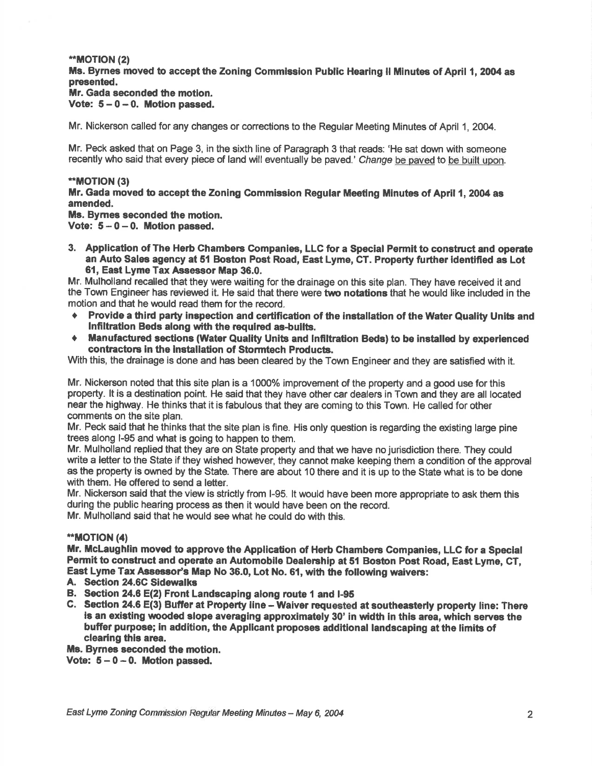#### \*MOT|ON (2) Ms. Byrnes moved to accept the Zoning Commission Public Hearing II Minutes of April 1, 2004 as presented.

# Mr. Gada seconded the motion.

Vote:  $5 - 0 - 0$ . Motion passed.

Mr. Nickerson called for any changes or corrections to the Regular Meeting Minutes of April 1, 2004.

Mr. Peck asked that on Page 3, in the sixth line of Paragraph 3 that reads: 'He sat down with someone recently who said that every piece of land will eventually be paved.' Change be paved to be built upon.

### \*MOTION (3)

Mr. Gada moved to accept the Zoning Commission Regular Meeting Minutes of April 1, 2004 as amended.

## Ms. Bymes seconded the motion.

Vote:  $5-0-0$ . Motion passed.

3. Application of The Herb Chambers Companies, LLC for a Special Permit to construct and operate an Auto Sales agency at 51 Boston Post Road, East Lyme, CT. Property further identified as Lot 61, East Lyme Tax Aseessor Map 36.0.

Mr. Mulholland recalled that they were waiting for the drainage on this site plan. They have received it and the Town Engineer has reviewed it. He said that there were two notations that he would like included in the motion and that he would read them for the record.

- Provide a third party inspection and certification of the installation of the Water Quality Units and Infiltration Beds along with the required as-builts.
- Manufactured sections (Water Quality Units and Infiltration Beds) to be installed by experienced contractons in the lnstallafion of Stormtech Products.

With this, the drainage is done and has been cleared by the Town Engineer and they are satisfied with it.

Mr. Nickerson noted that this site plan is a 1000% improvement of the property and a good use for this property. lt is a destination point. He said that they have other car dealers in Town and they are all located near the highway. He thinks that it is fabulous that they are coming to this Town. He called for other comments on the site plan.

Mr. Peck said that he thinks that the site plan is fine. His only question is regarding the existing large pine trees along l-95 and what is going to happen to them.

Mr. Mulholland replied that they are on State property and that we have no jurisdiction there. They could write a letter to the State if they wished however, they cannot make keeping them a condition of the approval as the property is owned by the State. There are about 10 there and it is up to the State what is to be done with them. He offered to send a letter.

Mr. Nickerson said that the view is strictly from l-95. lt would have been more appropriate to ask them this during the public hearing process as then it would have been on the record.

Mr. Mulholland said that he would see what he could do with this.

## \*\*MOTION (4)

Mr. McLaughlin moved to approve the Application of Herb Chambers Companies, LLC for a Special Permit to construct and operate an Automobile Dealership at 51 Boston Post Road, East Lyme, CT, East Lyme Tax Assessor's Map No 36.0, Lot No. 61, with the following waivers:<br>A. Section 24.6C Sidewalks

- 
- B. Section 24.6 E(2) Front Landscaping along route 1 and I-95
- C. Section 24.6 E(3) Buffer at Property line Waiver requested at southeasterly property line: There is an existing wooded slope averaging approximately 30' in width in this area, which serves the buffer purpose; in addition, the Applicant proposes additional landscaping at the limits of clearing thig area.

Ms. Byrnes seconded the motion.

Vote:  $5 - 0 - 0$ . Motion passed.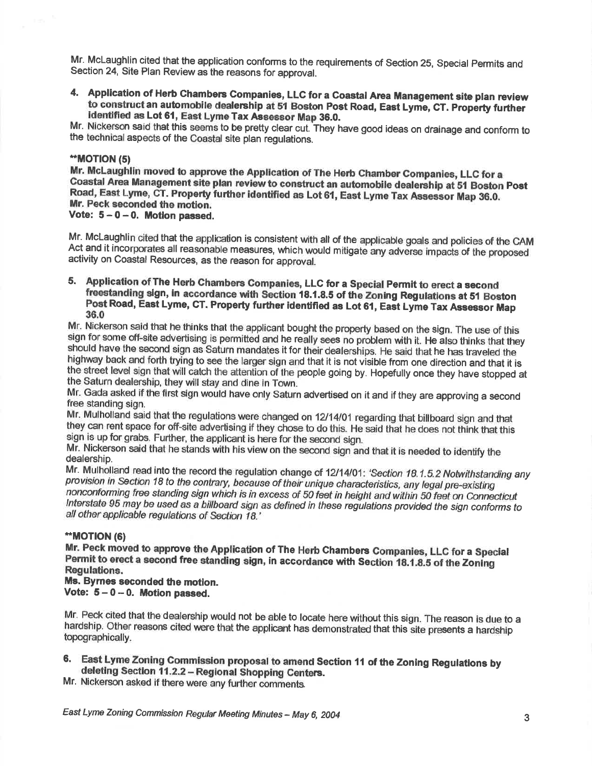Mr. McLaughlin cited that the application conforms to the requirements of Section 25, Special Permits and Section 24, Site Plan Review as the reasons for approval.

4. Application of Herb Chambers Companies, LLC for a Coastal Area Management site plan review<br>to construct an automobile dealership at 51 Boston Post Road, East Lyme, CT. Property further<br>identified as Lot 61, East Lyme Ta

Mr. Nickerson said that this seems to be pretty clear cut. They have good ideas on drainage and conform to the technical aspects of the Coastal site plan requisitions.

### .\*MOT|ON (5)

Mr. McLaughlin moved to approve the Application of The Herb Chamber Companies, LLC for a Coastal Area Management site plan review to construct an automobile dealership at 51 Boston Post Road, East Lyme, CT. Property further identified as Lot 61, East Lyme Tax Assessor Map 36.0. In Peck seconded the motion. Vote:  $5-0-0$ . Motion passed.

Mr. McLaughlin cited that the application is consistent with all of the applicable goals and policies of the CAM<br>Act and it incorporates all reasonable measures, which would mitigate any adverse impacts of the proposed activity on Coastal Resources, as the reason for approval.

5. Application of The Herb Chambers Companies, LLC for a Special Permit to erect a second<br>freestanding sign, in accordance with Section 18.1.8.5 of the Zoning Regulations at 51 Boston<br>Post Road, East Lyme, CT. Property fur

36.0<br>Mr. Nickerson said that he thinks that the applicant bought the property based on the sign. The use of this sign for some off-site advertising is permitted and he really sees no problem with it. He also thinks that they<br>should have the second sign as Saturn mandates it for their dealerships. He said that he has traveled the<br>high

Mr. Gada asked if the first sign would have only Saturn advertised on it and if they are approving a second free standing sign.

Mr. Mulholland said that the regulations were changed on 12/14/01 regarding that billboard sign and that they can rent space for off-site advertising if they chose to do this. He said that he does not think that this sign is up for grabs. Further, the applicant is here for the second sign.

Mr. Nickerson said that he stands with his view on the second sign and that it is needed to identify the dealership.

Mr. Mulholland read into the record the regulation change of 12/14/01: 'Section 18.1.5.2 Notwithstanding any provision in Section 18 to the contrary, because of their unique characteristics, any legal pre-existing<br>nonconforming free standing sign which is in excess of 50 feet in height and within 50 feet on Connecticut Interstate 95 may be used as a billboard sign as defined in these regulations provided the sign conforms to all other applicable requlations of Section 18.'

#### \*\*MOT|ON (6)

Mr. Peck moved to approve the Application of The Herb Chambers Companies, LLC for a Special Permit to erect a second free standing sign, in accordance with Section 18.1.8.5 of the Zoning<br>Regulations.

## Ms. Byrnes seconded the motion.

Vote:  $5-0-0$ . Motion passed.

Mr. Peck cited that the dealership would not be able to locate here without this sign. The reason is due to <sup>a</sup> hardship. Other reasons cited were that the applicant has demonstrated that this site presents a hardship topographically.

6. East Lyme Zoning Commission proposal to amend Section 11 of the Zoning Regulations by deleting Section 11.2.2 - Regional Shopping Centers.

Mr. Nickerson asked if there were any further comments.